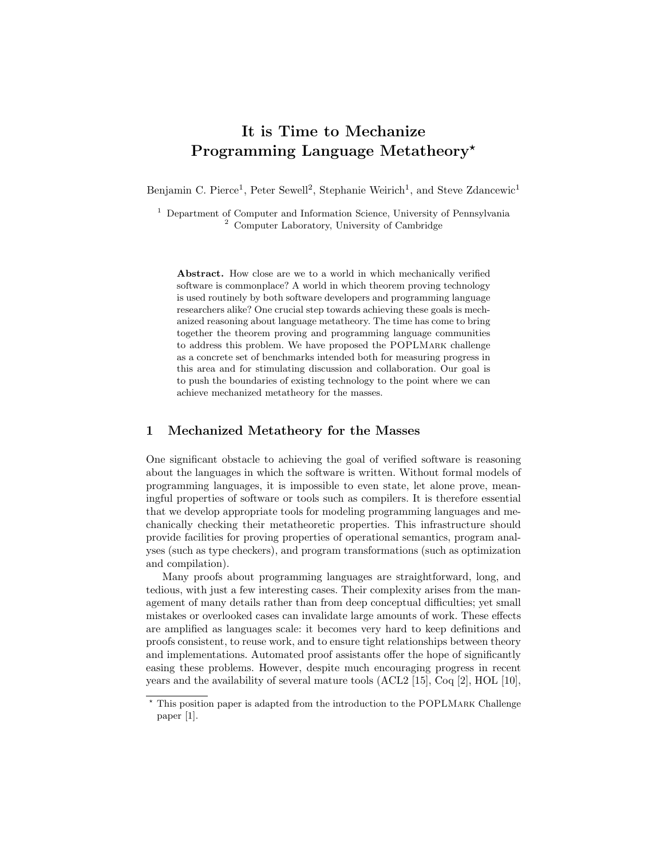## It is Time to Mechanize Programming Language Metatheory<sup>\*</sup>

Benjamin C. Pierce<sup>1</sup>, Peter Sewell<sup>2</sup>, Stephanie Weirich<sup>1</sup>, and Steve Zdancewic<sup>1</sup>

<sup>1</sup> Department of Computer and Information Science, University of Pennsylvania <sup>2</sup> Computer Laboratory, University of Cambridge

Abstract. How close are we to a world in which mechanically verified software is commonplace? A world in which theorem proving technology is used routinely by both software developers and programming language researchers alike? One crucial step towards achieving these goals is mechanized reasoning about language metatheory. The time has come to bring together the theorem proving and programming language communities to address this problem. We have proposed the POPLMark challenge as a concrete set of benchmarks intended both for measuring progress in this area and for stimulating discussion and collaboration. Our goal is to push the boundaries of existing technology to the point where we can achieve mechanized metatheory for the masses.

## 1 Mechanized Metatheory for the Masses

One significant obstacle to achieving the goal of verified software is reasoning about the languages in which the software is written. Without formal models of programming languages, it is impossible to even state, let alone prove, meaningful properties of software or tools such as compilers. It is therefore essential that we develop appropriate tools for modeling programming languages and mechanically checking their metatheoretic properties. This infrastructure should provide facilities for proving properties of operational semantics, program analyses (such as type checkers), and program transformations (such as optimization and compilation).

Many proofs about programming languages are straightforward, long, and tedious, with just a few interesting cases. Their complexity arises from the management of many details rather than from deep conceptual difficulties; yet small mistakes or overlooked cases can invalidate large amounts of work. These effects are amplified as languages scale: it becomes very hard to keep definitions and proofs consistent, to reuse work, and to ensure tight relationships between theory and implementations. Automated proof assistants offer the hope of significantly easing these problems. However, despite much encouraging progress in recent years and the availability of several mature tools (ACL2 [15], Coq [2], HOL [10],

<sup>?</sup> This position paper is adapted from the introduction to the POPLMark Challenge paper [1].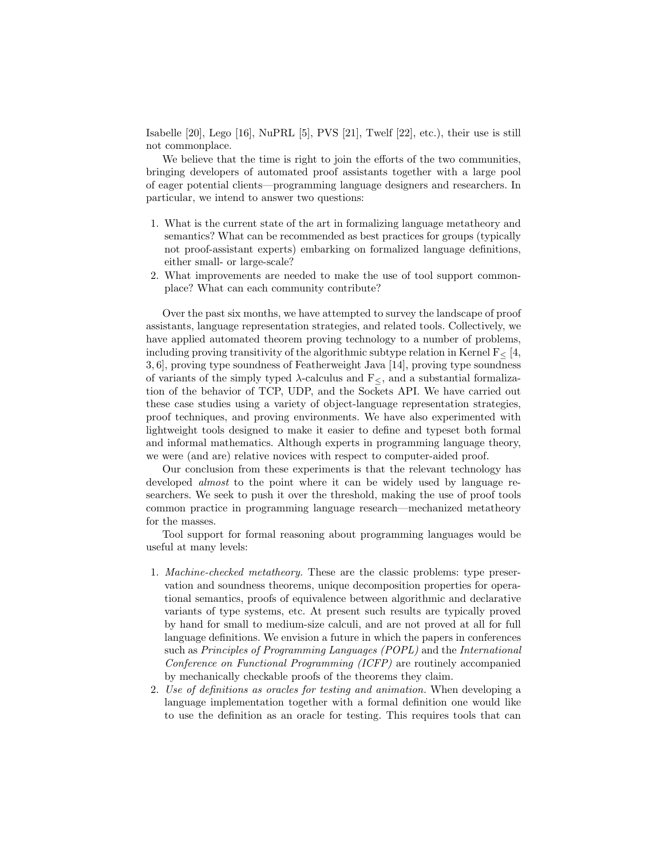Isabelle [20], Lego [16], NuPRL [5], PVS [21], Twelf [22], etc.), their use is still not commonplace.

We believe that the time is right to join the efforts of the two communities, bringing developers of automated proof assistants together with a large pool of eager potential clients—programming language designers and researchers. In particular, we intend to answer two questions:

- 1. What is the current state of the art in formalizing language metatheory and semantics? What can be recommended as best practices for groups (typically not proof-assistant experts) embarking on formalized language definitions, either small- or large-scale?
- 2. What improvements are needed to make the use of tool support commonplace? What can each community contribute?

Over the past six months, we have attempted to survey the landscape of proof assistants, language representation strategies, and related tools. Collectively, we have applied automated theorem proving technology to a number of problems, including proving transitivity of the algorithmic subtype relation in Kernel  $F<sub>5</sub>$  [4, 3, 6], proving type soundness of Featherweight Java [14], proving type soundness of variants of the simply typed  $\lambda$ -calculus and  $F<sub>5</sub>$ , and a substantial formalization of the behavior of TCP, UDP, and the Sockets API. We have carried out these case studies using a variety of object-language representation strategies, proof techniques, and proving environments. We have also experimented with lightweight tools designed to make it easier to define and typeset both formal and informal mathematics. Although experts in programming language theory, we were (and are) relative novices with respect to computer-aided proof.

Our conclusion from these experiments is that the relevant technology has developed *almost* to the point where it can be widely used by language researchers. We seek to push it over the threshold, making the use of proof tools common practice in programming language research—mechanized metatheory for the masses.

Tool support for formal reasoning about programming languages would be useful at many levels:

- 1. Machine-checked metatheory. These are the classic problems: type preservation and soundness theorems, unique decomposition properties for operational semantics, proofs of equivalence between algorithmic and declarative variants of type systems, etc. At present such results are typically proved by hand for small to medium-size calculi, and are not proved at all for full language definitions. We envision a future in which the papers in conferences such as Principles of Programming Languages (POPL) and the International Conference on Functional Programming (ICFP) are routinely accompanied by mechanically checkable proofs of the theorems they claim.
- 2. Use of definitions as oracles for testing and animation. When developing a language implementation together with a formal definition one would like to use the definition as an oracle for testing. This requires tools that can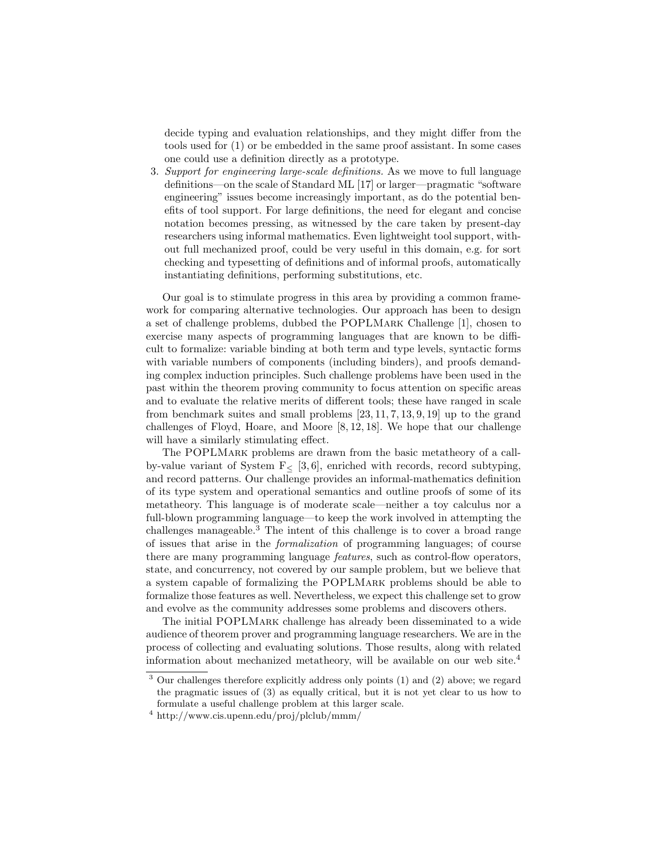decide typing and evaluation relationships, and they might differ from the tools used for (1) or be embedded in the same proof assistant. In some cases one could use a definition directly as a prototype.

3. Support for engineering large-scale definitions. As we move to full language definitions—on the scale of Standard ML [17] or larger—pragmatic "software engineering" issues become increasingly important, as do the potential benefits of tool support. For large definitions, the need for elegant and concise notation becomes pressing, as witnessed by the care taken by present-day researchers using informal mathematics. Even lightweight tool support, without full mechanized proof, could be very useful in this domain, e.g. for sort checking and typesetting of definitions and of informal proofs, automatically instantiating definitions, performing substitutions, etc.

Our goal is to stimulate progress in this area by providing a common framework for comparing alternative technologies. Our approach has been to design a set of challenge problems, dubbed the POPLMark Challenge [1], chosen to exercise many aspects of programming languages that are known to be difficult to formalize: variable binding at both term and type levels, syntactic forms with variable numbers of components (including binders), and proofs demanding complex induction principles. Such challenge problems have been used in the past within the theorem proving community to focus attention on specific areas and to evaluate the relative merits of different tools; these have ranged in scale from benchmark suites and small problems [23, 11, 7, 13, 9, 19] up to the grand challenges of Floyd, Hoare, and Moore [8, 12, 18]. We hope that our challenge will have a similarly stimulating effect.

The POPLMark problems are drawn from the basic metatheory of a callby-value variant of System  $F<sub>5</sub>$  [3, 6], enriched with records, record subtyping, and record patterns. Our challenge provides an informal-mathematics definition of its type system and operational semantics and outline proofs of some of its metatheory. This language is of moderate scale—neither a toy calculus nor a full-blown programming language—to keep the work involved in attempting the challenges manageable.<sup>3</sup> The intent of this challenge is to cover a broad range of issues that arise in the formalization of programming languages; of course there are many programming language features, such as control-flow operators, state, and concurrency, not covered by our sample problem, but we believe that a system capable of formalizing the POPLMark problems should be able to formalize those features as well. Nevertheless, we expect this challenge set to grow and evolve as the community addresses some problems and discovers others.

The initial POPLMark challenge has already been disseminated to a wide audience of theorem prover and programming language researchers. We are in the process of collecting and evaluating solutions. Those results, along with related information about mechanized metatheory, will be available on our web site.<sup>4</sup>

<sup>3</sup> Our challenges therefore explicitly address only points (1) and (2) above; we regard the pragmatic issues of (3) as equally critical, but it is not yet clear to us how to formulate a useful challenge problem at this larger scale.

<sup>4</sup> http://www.cis.upenn.edu/proj/plclub/mmm/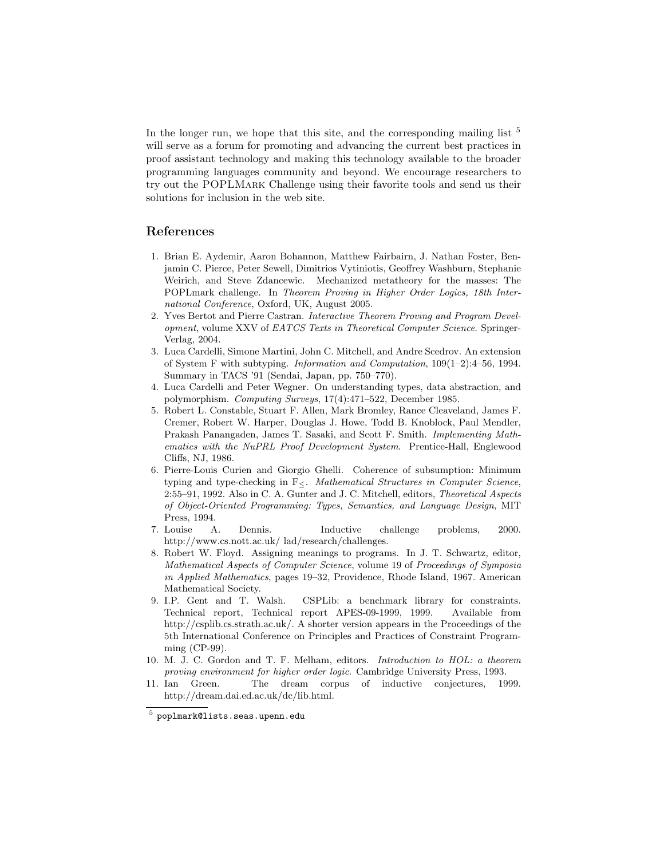In the longer run, we hope that this site, and the corresponding mailing list  $5$ will serve as a forum for promoting and advancing the current best practices in proof assistant technology and making this technology available to the broader programming languages community and beyond. We encourage researchers to try out the POPLMark Challenge using their favorite tools and send us their solutions for inclusion in the web site.

## References

- 1. Brian E. Aydemir, Aaron Bohannon, Matthew Fairbairn, J. Nathan Foster, Benjamin C. Pierce, Peter Sewell, Dimitrios Vytiniotis, Geoffrey Washburn, Stephanie Weirich, and Steve Zdancewic. Mechanized metatheory for the masses: The POPLmark challenge. In Theorem Proving in Higher Order Logics, 18th International Conference, Oxford, UK, August 2005.
- 2. Yves Bertot and Pierre Castran. Interactive Theorem Proving and Program Development, volume XXV of EATCS Texts in Theoretical Computer Science. Springer-Verlag, 2004.
- 3. Luca Cardelli, Simone Martini, John C. Mitchell, and Andre Scedrov. An extension of System F with subtyping. Information and Computation, 109(1–2):4–56, 1994. Summary in TACS '91 (Sendai, Japan, pp. 750–770).
- 4. Luca Cardelli and Peter Wegner. On understanding types, data abstraction, and polymorphism. Computing Surveys, 17(4):471–522, December 1985.
- 5. Robert L. Constable, Stuart F. Allen, Mark Bromley, Rance Cleaveland, James F. Cremer, Robert W. Harper, Douglas J. Howe, Todd B. Knoblock, Paul Mendler, Prakash Panangaden, James T. Sasaki, and Scott F. Smith. Implementing Mathematics with the NuPRL Proof Development System. Prentice-Hall, Englewood Cliffs, NJ, 1986.
- 6. Pierre-Louis Curien and Giorgio Ghelli. Coherence of subsumption: Minimum typing and type-checking in F<. Mathematical Structures in Computer Science, 2:55–91, 1992. Also in C. A. Gunter and J. C. Mitchell, editors, Theoretical Aspects of Object-Oriented Programming: Types, Semantics, and Language Design, MIT Press, 1994.
- 7. Louise A. Dennis. Inductive challenge problems, 2000. http://www.cs.nott.ac.uk/ lad/research/challenges.
- 8. Robert W. Floyd. Assigning meanings to programs. In J. T. Schwartz, editor, Mathematical Aspects of Computer Science, volume 19 of Proceedings of Symposia in Applied Mathematics, pages 19–32, Providence, Rhode Island, 1967. American Mathematical Society.
- 9. I.P. Gent and T. Walsh. CSPLib: a benchmark library for constraints. Technical report, Technical report APES-09-1999, 1999. Available from http://csplib.cs.strath.ac.uk/. A shorter version appears in the Proceedings of the 5th International Conference on Principles and Practices of Constraint Programming (CP-99).
- 10. M. J. C. Gordon and T. F. Melham, editors. Introduction to HOL: a theorem proving environment for higher order logic. Cambridge University Press, 1993.
- 11. Ian Green. The dream corpus of inductive conjectures, 1999. http://dream.dai.ed.ac.uk/dc/lib.html.

 $^5$  poplmark@lists.seas.upenn.edu